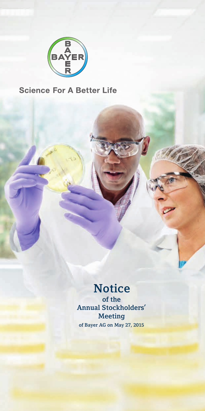

#### **Science For A Better Life**

### **Notice**

of the Annual Stockholders' Meeting of Bayer AG on May 27, 2015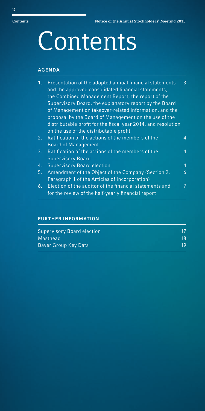2

## **Contents**

#### AGENDA

| 1. | Presentation of the adopted annual financial statements<br>and the approved consolidated financial statements, | 3 |
|----|----------------------------------------------------------------------------------------------------------------|---|
|    | the Combined Management Report, the report of the                                                              |   |
|    | Supervisory Board, the explanatory report by the Board                                                         |   |
|    | of Management on takeover-related information, and the                                                         |   |
|    | proposal by the Board of Management on the use of the                                                          |   |
|    | distributable profit for the fiscal year 2014, and resolution                                                  |   |
|    | on the use of the distributable profit                                                                         |   |
| 2. | Ratification of the actions of the members of the                                                              | 4 |
|    | <b>Board of Management</b>                                                                                     |   |
| 3. | Ratification of the actions of the members of the                                                              | 4 |
|    | <b>Supervisory Board</b>                                                                                       |   |
| 4. | <b>Supervisory Board election</b>                                                                              | 4 |
| 5. | Amendment of the Object of the Company (Section 2,                                                             | 6 |
|    | Paragraph 1 of the Articles of Incorporation)                                                                  |   |
| 6. | Election of the auditor of the financial statements and                                                        | 7 |
|    | for the review of the half-yearly financial report                                                             |   |

#### FURTHER INFORMATION

| <b>Supervisory Board election</b> |  |
|-----------------------------------|--|
| Masthead                          |  |
| Bayer Group Key Data              |  |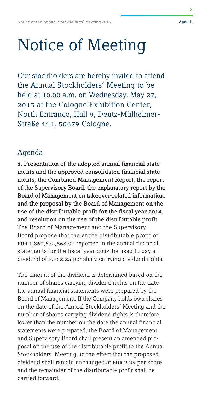### Notice of Meeting

Our stockholders are hereby invited to attend the Annual Stockholders' Meeting to be held at 10.00 a.m. on Wednesday, May 27, 2015 at the Cologne Exhibition Center, North Entrance, Hall 9, Deutz-Mülheimer-Straße 111, 50679 Cologne.

#### Agenda

**1.** Presentation of the adopted annual financial statements and the approved consolidated financial statements, the Combined Management Report, the report of the Supervisory Board, the explanatory report by the Board of Management on takeover-related information, and the proposal by the Board of Management on the use of the distributable profit for the fiscal year **2014**, and resolution on the use of the distributable profit The Board of Management and the Supervisory Board propose that the entire distributable profit of eur 1,860,632,568.00 reported in the annual financial statements for the fiscal year 2014 be used to pay a dividend of eur 2.25 per share carrying dividend rights.

The amount of the dividend is determined based on the number of shares carrying dividend rights on the date the annual financial statements were prepared by the Board of Management. If the Company holds own shares on the date of the Annual Stockholders' Meeting and the number of shares carrying dividend rights is therefore lower than the number on the date the annual financial statements were prepared, the Board of Management and Supervisory Board shall present an amended proposal on the use of the distributable profit to the Annual Stockholders' Meeting, to the effect that the proposed dividend shall remain unchanged at eur 2.25 per share and the remainder of the distributable profit shall be carried forward.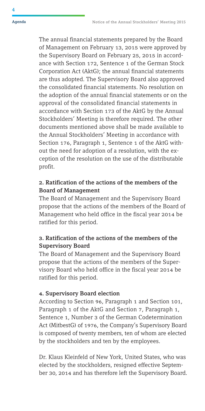**4** 

The annual financial statements prepared by the Board of Management on February 13, 2015 were approved by the Supervisory Board on February 25, 2015 in accordance with Section 172, Sentence 1 of the German Stock Corporation Act (AktG); the annual financial statements are thus adopted. The Supervisory Board also approved the consolidated financial statements. No resolution on the adoption of the annual financial statements or on the approval of the consolidated financial statements in accordance with Section 173 of the AktG by the Annual Stockholders' Meeting is therefore required. The other documents mentioned above shall be made available to the Annual Stockholders' Meeting in accordance with Section 176, Paragraph 1, Sentence 1 of the AktG without the need for adoption of a resolution, with the exception of the resolution on the use of the distributable profit.

#### **2**. Ratification of the actions of the members of the Board of Management

The Board of Management and the Supervisory Board propose that the actions of the members of the Board of Management who held office in the fiscal year 2014 be ratified for this period.

#### **3**. Ratification of the actions of the members of the Supervisory Board

The Board of Management and the Supervisory Board propose that the actions of the members of the Supervisory Board who held office in the fiscal year 2014 be ratified for this period.

#### **4**. Supervisory Board election

According to Section 96, Paragraph 1 and Section 101, Paragraph 1 of the AktG and Section 7, Paragraph 1, Sentence 1, Number 3 of the German Codetermination Act (MitbestG) of 1976, the Company's Supervisory Board is composed of twenty members, ten of whom are elected by the stockholders and ten by the employees.

Dr. Klaus Kleinfeld of New York, United States, who was elected by the stockholders, resigned effective September 30, 2014 and has therefore left the Supervisory Board.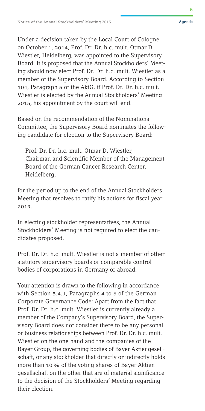Under a decision taken by the Local Court of Cologne on October 1, 2014, Prof. Dr. Dr. h.c. mult. Otmar D. Wiestler, Heidelberg, was appointed to the Supervisory Board. It is proposed that the Annual Stockholders' Meeting should now elect Prof. Dr. Dr. h.c. mult. Wiestler as a member of the Supervisory Board. According to Section 104, Paragraph 5 of the AktG, if Prof. Dr. Dr. h.c. mult. Wiestler is elected by the Annual Stockholders' Meeting 2015, his appointment by the court will end.

Based on the recommendation of the Nominations Committee, the Supervisory Board nominates the following candidate for election to the Supervisory Board:

Prof. Dr. Dr. h.c. mult. Otmar D. Wiestler, Chairman and Scientific Member of the Management Board of the German Cancer Research Center, Heidelberg,

for the period up to the end of the Annual Stockholders' Meeting that resolves to ratify his actions for fiscal year 2019.

In electing stockholder representatives, the Annual Stockholders' Meeting is not required to elect the candidates proposed.

Prof. Dr. Dr. h.c. mult. Wiestler is not a member of other statutory supervisory boards or comparable control bodies of corporations in Germany or abroad.

Your attention is drawn to the following in accordance with Section 5.4.1, Paragraphs 4 to 6 of the German Corporate Governance Code: Apart from the fact that Prof. Dr. Dr. h.c. mult. Wiestler is currently already a member of the Company's Supervisory Board, the Supervisory Board does not consider there to be any personal or business relationships between Prof. Dr. Dr. h.c. mult. Wiestler on the one hand and the companies of the Bayer Group, the governing bodies of Bayer Aktiengesellschaft, or any stockholder that directly or indirectly holds more than 10% of the voting shares of Bayer Aktiengesellschaft on the other that are of material significance to the decision of the Stockholders' Meeting regarding their election.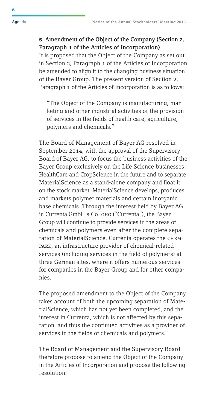#### **5**. Amendment of the Object of the Company (Section **2**, Paragraph **1** of the Articles of Incorporation)

It is proposed that the Object of the Company as set out in Section 2, Paragraph 1 of the Articles of Incorporation be amended to align it to the changing business situation of the Bayer Group. The present version of Section 2, Paragraph 1 of the Articles of Incorporation is as follows:

"The Object of the Company is manufacturing, marketing and other industrial activities or the provision of services in the fields of health care, agriculture, polymers and chemicals."

The Board of Management of Bayer AG resolved in September 2014, with the approval of the Supervisory Board of Bayer AG, to focus the business activities of the Bayer Group exclusively on the Life Science businesses HealthCare and CropScience in the future and to separate MaterialScience as a stand-alone company and float it on the stock market. MaterialScience develops, produces and markets polymer materials and certain inorganic base chemicals. Through the interest held by Bayer AG in Currenta GmbH & Co. ohg ("Currenta"), the Bayer Group will continue to provide services in the areas of chemicals and polymers even after the complete separation of MaterialScience. Currenta operates the CHEMpark, an infrastructure provider of chemical-related services (including services in the field of polymers) at three German sites, where it offers numerous services for companies in the Bayer Group and for other companies.

The proposed amendment to the Object of the Company takes account of both the upcoming separation of MaterialScience, which has not yet been completed, and the interest in Currenta, which is not affected by this separation, and thus the continued activities as a provider of services in the fields of chemicals and polymers.

The Board of Management and the Supervisory Board therefore propose to amend the Object of the Company in the Articles of Incorporation and propose the following resolution: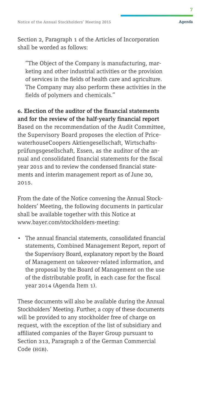Section 2, Paragraph 1 of the Articles of Incorporation shall be worded as follows:

"The Object of the Company is manufacturing, marketing and other industrial activities or the provision of services in the fields of health care and agriculture. The Company may also perform these activities in the fields of polymers and chemicals."

**6**. Election of the auditor of the financial statements and for the review of the half-yearly financial report Based on the recommendation of the Audit Committee, the Supervisory Board proposes the election of PricewaterhouseCoopers Aktiengesellschaft, Wirtschaftsprüfungsgesellschaft, Essen, as the auditor of the annual and consolidated financial statements for the fiscal year 2015 and to review the condensed financial statements and interim management report as of June 30, 2015.

From the date of the Notice convening the Annual Stockholders' Meeting, the following documents in particular shall be available together with this Notice at www.bayer.com/stockholders-meeting:

• The annual financial statements, consolidated financial statements, Combined Management Report, report of the Supervisory Board, explanatory report by the Board of Management on takeover-related information, and the proposal by the Board of Management on the use of the distributable profit, in each case for the fiscal year 2014 (Agenda Item 1).

These documents will also be available during the Annual Stockholders' Meeting. Further, a copy of these documents will be provided to any stockholder free of charge on request, with the exception of the list of subsidiary and affiliated companies of the Bayer Group pursuant to Section 313, Paragraph 2 of the German Commercial Code (HGB).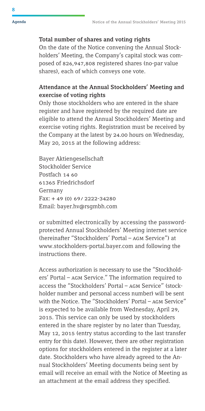**8** 

#### Total number of shares and voting rights

On the date of the Notice convening the Annual Stockholders' Meeting, the Company's capital stock was composed of 826,947,808 registered shares (no-par value shares), each of which conveys one vote.

#### Attendance at the Annual Stockholders' Meeting and exercise of voting rights

Only those stockholders who are entered in the share register and have registered by the required date are eligible to attend the Annual Stockholders' Meeting and exercise voting rights. Registration must be received by the Company at the latest by 24.00 hours on Wednesday, May 20, 2015 at the following address:

Bayer Aktiengesellschaft Stockholder Service Postfach 14 60 61365 Friedrichsdorf Germany  $Fax: + 49(0)69/2222234280$ Email: bayer.hv@rsgmbh.com

or submitted electronically by accessing the passwordprotected Annual Stockholders' Meeting internet service (hereinafter "Stockholders' Portal – agm Service") at www.stockholders-portal.bayer.com and following the instructions there.

Access authorization is necessary to use the "Stockholders' Portal – agm Service." The information required to access the "Stockholders' Portal – agm Service" (stockholder number and personal access number) will be sent with the Notice. The "Stockholders' Portal - AGM Service" is expected to be available from Wednesday, April 29, 2015. This service can only be used by stockholders entered in the share register by no later than Tuesday, May 12, 2015 (entry status according to the last transfer entry for this date). However, there are other registration options for stockholders entered in the register at a later date. Stockholders who have already agreed to the Annual Stockholders' Meeting documents being sent by email will receive an email with the Notice of Meeting as an attachment at the email address they specified.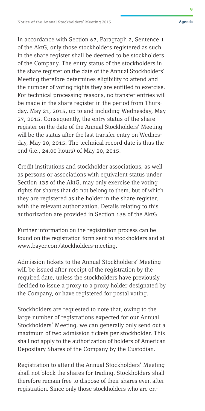In accordance with Section 67, Paragraph 2, Sentence 1 of the AktG, only those stockholders registered as such in the share register shall be deemed to be stockholders of the Company. The entry status of the stockholders in the share register on the date of the Annual Stockholders' Meeting therefore determines eligibility to attend and the number of voting rights they are entitled to exercise. For technical processing reasons, no transfer entries will be made in the share register in the period from Thursday, May 21, 2015, up to and including Wednesday, May 27, 2015. Consequently, the entry status of the share register on the date of the Annual Stockholders' Meeting will be the status after the last transfer entry on Wednesday, May 20, 2015. The technical record date is thus the end (i.e., 24.00 hours) of May 20, 2015.

Credit institutions and stockholder associations, as well as persons or associations with equivalent status under Section 135 of the AktG, may only exercise the voting rights for shares that do not belong to them, but of which they are registered as the holder in the share register, with the relevant authorization. Details relating to this authorization are provided in Section 135 of the AktG.

Further information on the registration process can be found on the registration form sent to stockholders and at www.bayer.com/stockholders-meeting.

Admission tickets to the Annual Stockholders' Meeting will be issued after receipt of the registration by the required date, unless the stockholders have previously decided to issue a proxy to a proxy holder designated by the Company, or have registered for postal voting.

Stockholders are requested to note that, owing to the large number of registrations expected for our Annual Stockholders' Meeting, we can generally only send out a maximum of two admission tickets per stockholder. This shall not apply to the authorization of holders of American Depositary Shares of the Company by the Custodian.

Registration to attend the Annual Stockholders' Meeting shall not block the shares for trading. Stockholders shall therefore remain free to dispose of their shares even after registration. Since only those stockholders who are en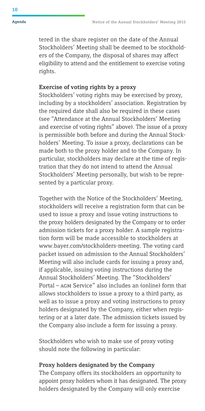tered in the share register on the date of the Annual Stockholders' Meeting shall be deemed to be stockholders of the Company, the disposal of shares may affect eligibility to attend and the entitlement to exercise voting rights.

#### Exercise of voting rights by a proxy

Stockholders' voting rights may be exercised by proxy, including by a stockholders' association. Registration by the required date shall also be required in these cases (see "Attendance at the Annual Stockholders' Meeting and exercise of voting rights" above). The issue of a proxy is permissible both before and during the Annual Stockholders' Meeting. To issue a proxy, declarations can be made both to the proxy holder and to the Company. In particular, stockholders may declare at the time of registration that they do not intend to attend the Annual Stockholders' Meeting personally, but wish to be represented by a particular proxy.

Together with the Notice of the Stockholders' Meeting, stockholders will receive a registration form that can be used to issue a proxy and issue voting instructions to the proxy holders designated by the Company or to order admission tickets for a proxy holder. A sample registration form will be made accessible to stockholders at www.bayer.com/stockholders-meeting. The voting card packet issued on admission to the Annual Stockholders' Meeting will also include cards for issuing a proxy and, if applicable, issuing voting instructions during the Annual Stockholders' Meeting. The "Stockholders' Portal – agm Service" also includes an (online) form that allows stockholders to issue a proxy to a third party, as well as to issue a proxy and voting instructions to proxy holders designated by the Company, either when registering or at a later date. The admission tickets issued by the Company also include a form for issuing a proxy.

Stockholders who wish to make use of proxy voting should note the following in particular:

#### Proxy holders designated by the Company

The Company offers its stockholders an opportunity to appoint proxy holders whom it has designated. The proxy holders designated by the Company will only exercise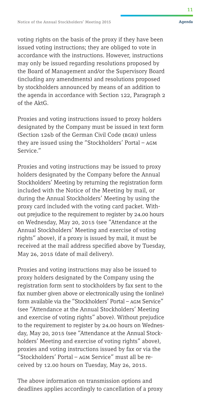voting rights on the basis of the proxy if they have been issued voting instructions; they are obliged to vote in accordance with the instructions. However, instructions may only be issued regarding resolutions proposed by the Board of Management and/or the Supervisory Board (including any amendments) and resolutions proposed by stockholders announced by means of an addition to the agenda in accordance with Section 122, Paragraph 2 of the AktG.

Proxies and voting instructions issued to proxy holders designated by the Company must be issued in text form (Section 126b of the German Civil Code (BGB)) unless they are issued using the "Stockholders' Portal – agm Service."

Proxies and voting instructions may be issued to proxy holders designated by the Company before the Annual Stockholders' Meeting by returning the registration form included with the Notice of the Meeting by mail, or during the Annual Stockholders' Meeting by using the proxy card included with the voting card packet. Without prejudice to the requirement to register by 24.00 hours on Wednesday, May 20, 2015 (see "Attendance at the Annual Stockholders' Meeting and exercise of voting rights" above), if a proxy is issued by mail, it must be received at the mail address specified above by Tuesday, May 26, 2015 (date of mail delivery).

Proxies and voting instructions may also be issued to proxy holders designated by the Company using the registration form sent to stockholders by fax sent to the fax number given above or electronically using the (online) form available via the "Stockholders' Portal – AGM Service" (see "Attendance at the Annual Stockholders' Meeting and exercise of voting rights" above). Without prejudice to the requirement to register by 24.00 hours on Wednesday, May 20, 2015 (see "Attendance at the Annual Stockholders' Meeting and exercise of voting rights" above), proxies and voting instructions issued by fax or via the "Stockholders' Portal – agm Service" must all be received by 12.00 hours on Tuesday, May 26, 2015.

The above information on transmission options and deadlines applies accordingly to cancellation of a proxy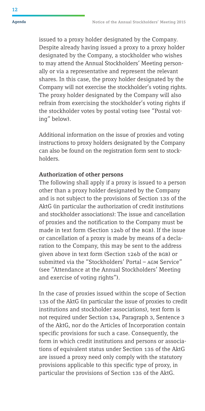issued to a proxy holder designated by the Company. Despite already having issued a proxy to a proxy holder designated by the Company, a stockholder who wishes to may attend the Annual Stockholders' Meeting personally or via a representative and represent the relevant shares. In this case, the proxy holder designated by the Company will not exercise the stockholder's voting rights. The proxy holder designated by the Company will also refrain from exercising the stockholder's voting rights if the stockholder votes by postal voting (see "Postal voting" below).

Additional information on the issue of proxies and voting instructions to proxy holders designated by the Company can also be found on the registration form sent to stockholders.

#### Authorization of other persons

The following shall apply if a proxy is issued to a person other than a proxy holder designated by the Company and is not subject to the provisions of Section 135 of the AktG (in particular the authorization of credit institutions and stockholder associations): The issue and cancellation of proxies and the notification to the Company must be made in text form (Section 126b of the BGB). If the issue or cancellation of a proxy is made by means of a declaration to the Company, this may be sent to the address given above in text form (Section 126b of the bgb) or submitted via the "Stockholders' Portal – AGM Service" (see "Attendance at the Annual Stockholders' Meeting and exercise of voting rights").

In the case of proxies issued within the scope of Section 135 of the AktG (in particular the issue of proxies to credit institutions and stockholder associations), text form is not required under Section 134, Paragraph 3, Sentence 3 of the AktG, nor do the Articles of Incorporation contain specific provisions for such a case. Consequently, the form in which credit institutions and persons or associations of equivalent status under Section 135 of the AktG are issued a proxy need only comply with the statutory provisions applicable to this specific type of proxy, in particular the provisions of Section 135 of the AktG.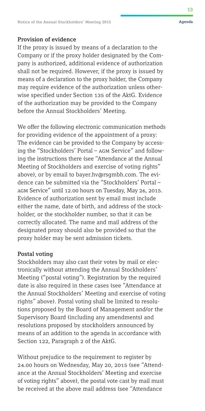#### Provision of evidence

If the proxy is issued by means of a declaration to the Company or if the proxy holder designated by the Company is authorized, additional evidence of authorization shall not be required. However, if the proxy is issued by means of a declaration to the proxy holder, the Company may require evidence of the authorization unless otherwise specified under Section 135 of the AktG. Evidence of the authorization may be provided to the Company before the Annual Stockholders' Meeting.

We offer the following electronic communication methods for providing evidence of the appointment of a proxy: The evidence can be provided to the Company by accessing the "Stockholders' Portal - AGM Service" and following the instructions there (see "Attendance at the Annual Meeting of Stockholders and exercise of voting rights" above), or by email to bayer.hv@rsgmbh.com. The evidence can be submitted via the "Stockholders' Portal – agm Service" until 12.00 hours on Tuesday, May 26, 2015. Evidence of authorization sent by email must include either the name, date of birth, and address of the stockholder, or the stockholder number, so that it can be correctly allocated. The name and mail address of the designated proxy should also be provided so that the proxy holder may be sent admission tickets.

#### Postal voting

Stockholders may also cast their votes by mail or electronically without attending the Annual Stockholders' Meeting ("postal voting"). Registration by the required date is also required in these cases (see "Attendance at the Annual Stockholders' Meeting and exercise of voting rights" above). Postal voting shall be limited to resolutions proposed by the Board of Management and/or the Supervisory Board (including any amendments) and resolutions proposed by stockholders announced by means of an addition to the agenda in accordance with Section 122, Paragraph 2 of the AktG.

Without prejudice to the requirement to register by 24.00 hours on Wednesday, May 20, 2015 (see "Attendance at the Annual Stockholders' Meeting and exercise of voting rights" above), the postal vote cast by mail must be received at the above mail address (see "Attendance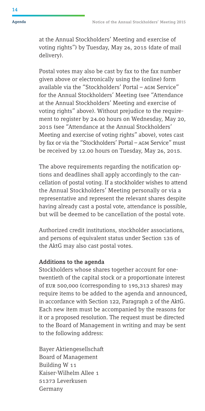at the Annual Stockholders' Meeting and exercise of voting rights") by Tuesday, May 26, 2015 (date of mail delivery).

Postal votes may also be cast by fax to the fax number given above or electronically using the (online) form available via the "Stockholders' Portal - AGM Service" for the Annual Stockholders' Meeting (see "Attendance at the Annual Stockholders' Meeting and exercise of voting rights" above). Without prejudice to the requirement to register by 24.00 hours on Wednesday, May 20, 2015 (see "Attendance at the Annual Stockholders' Meeting and exercise of voting rights" above), votes cast by fax or via the "Stockholders' Portal - AGM Service" must be received by 12.00 hours on Tuesday, May 26, 2015.

The above requirements regarding the notification options and deadlines shall apply accordingly to the cancellation of postal voting. If a stockholder wishes to attend the Annual Stockholders' Meeting personally or via a representative and represent the relevant shares despite having already cast a postal vote, attendance is possible, but will be deemed to be cancellation of the postal vote.

Authorized credit institutions, stockholder associations, and persons of equivalent status under Section 135 of the AktG may also cast postal votes.

#### Additions to the agenda

Stockholders whose shares together account for onetwentieth of the capital stock or a proportionate interest of eur 500,000 (corresponding to 195,313 shares) may require items to be added to the agenda and announced, in accordance with Section 122, Paragraph 2 of the AktG. Each new item must be accompanied by the reasons for it or a proposed resolution. The request must be directed to the Board of Management in writing and may be sent to the following address:

Bayer Aktiengesellschaft Board of Management Building W 11 Kaiser-Wilhelm Allee 1 51373 Leverkusen Germany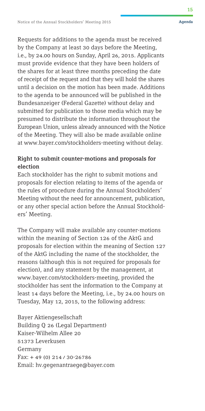Requests for additions to the agenda must be received by the Company at least 30 days before the Meeting, i.e., by 24.00 hours on Sunday, April 26, 2015. Applicants must provide evidence that they have been holders of the shares for at least three months preceding the date of receipt of the request and that they will hold the shares until a decision on the motion has been made. Additions to the agenda to be announced will be published in the Bundesanzeiger (Federal Gazette) without delay and submitted for publication to those media which may be presumed to distribute the information throughout the European Union, unless already announced with the Notice of the Meeting. They will also be made available online at www.bayer.com/stockholders-meeting without delay.

#### Right to submit counter-motions and proposals for election

Each stockholder has the right to submit motions and proposals for election relating to items of the agenda or the rules of procedure during the Annual Stockholders' Meeting without the need for announcement, publication, or any other special action before the Annual Stockholders' Meeting.

The Company will make available any counter-motions within the meaning of Section 126 of the AktG and proposals for election within the meaning of Section 127 of the AktG including the name of the stockholder, the reasons (although this is not required for proposals for election), and any statement by the management, at www.bayer.com/stockholders-meeting, provided the stockholder has sent the information to the Company at least 14 days before the Meeting, i.e., by 24.00 hours on Tuesday, May 12, 2015, to the following address:

Bayer Aktiengesellschaft Building Q 26 (Legal Department) Kaiser-Wilhelm Allee 20 51373 Leverkusen Germany Fax: + 49 (0) 214 / 30-26786 Email: hv.gegenantraege@bayer.com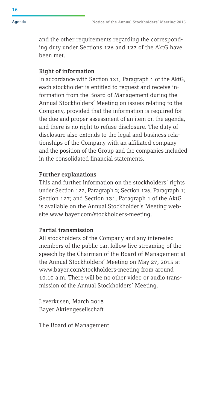**16** 

and the other requirements regarding the corresponding duty under Sections 126 and 127 of the AktG have been met.

#### Right of information

In accordance with Section 131, Paragraph 1 of the AktG, each stockholder is entitled to request and receive information from the Board of Management during the Annual Stockholders' Meeting on issues relating to the Company, provided that the information is required for the due and proper assessment of an item on the agenda, and there is no right to refuse disclosure. The duty of disclosure also extends to the legal and business relationships of the Company with an affiliated company and the position of the Group and the companies included in the consolidated financial statements.

#### Further explanations

This and further information on the stockholders' rights under Section 122, Paragraph 2; Section 126, Paragraph 1; Section 127; and Section 131, Paragraph 1 of the AktG is available on the Annual Stockholder's Meeting website www.bayer.com/stockholders-meeting.

#### Partial transmission

All stockholders of the Company and any interested members of the public can follow live streaming of the speech by the Chairman of the Board of Management at the Annual Stockholders' Meeting on May 27, 2015 at www.bayer.com/stockholders-meeting from around 10.10 a.m. There will be no other video or audio transmission of the Annual Stockholders' Meeting.

Leverkusen, March 2015 Bayer Aktiengesellschaft

The Board of Management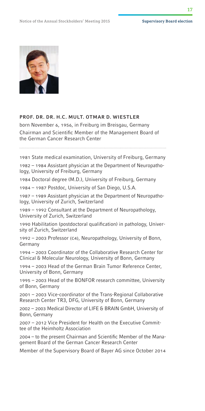

#### PROF. DR. DR. H.C. MULT. OTMAR D. WIESTLER

born November 6, 1956, in Freiburg im Breisgau, Germany Chairman and Scientific Member of the Management Board of the German Cancer Research Center

1981 State medical examination, University of Freiburg, Germany

1982 – 1984 Assistant physician at the Department of Neuropathology, University of Freiburg, Germany

1984 Doctoral degree (M.D.), University of Freiburg, Germany

1984 – 1987 Postdoc, University of San Diego, U.S.A.

1987 – 1989 Assistant physician at the Department of Neuropathology, University of Zurich, Switzerland

1989 – 1992 Consultant at the Department of Neuropathology, University of Zurich, Switzerland

1990 Habilitation (postdoctoral qualification) in pathology, University of Zurich, Switzerland

1992 – 2003 Professor (C4), Neuropathology, University of Bonn, Germany

1994 – 2003 Coordinator of the Collaborative Research Center for Clinical & Molecular Neurology, University of Bonn, Germany

1994 – 2003 Head of the German Brain Tumor Reference Center, University of Bonn, Germany

1995 – 2003 Head of the BONFOR research committee, University of Bonn, Germany

2001 – 2003 Vice-coordinator of the Trans-Regional Collaborative Research Center TR3, DFG, University of Bonn, Germany

2002 – 2003 Medical Director of LIFE & BRAIN GmbH, University of Bonn, Germany

2007 – 2012 Vice President for Health on the Executive Committee of the Heimholtz Association

2004 – to the present Chairman and Scientific Member of the Management Board of the German Cancer Research Center

Member of the Supervisory Board of Bayer AG since October 2014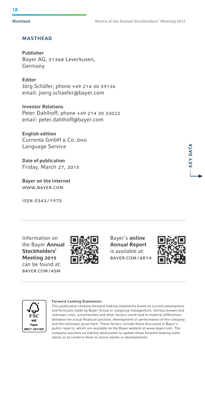#### Masthead Notice of the Annual Stockholders' Meeting 2015

#### **MASTHEAD**

Publisher Bayer AG, 51368 Leverkusen, Germany

Editor Jörg Schäfer, phone +49 214 30 39136 email: joerg.schaefer@bayer.com

Investor Relations Peter Dahlhoff, phone +49 214 30 33022 email: peter.dahlhoff@bayer.com

English edition Currenta GmbH & Co. OHG Language Service

Date of publication Friday, March 27, 2015

Bayer on the internet www.bayer.cOm

ISSN 0343 / 1975

Information on the Bayer Annual Stockholders' Meeting 2015 can be found at: bayer.cOm / aSm



Bayer's online Annual Report is available at: bayer.cOm / ar14



KEY DATA

**KEY DATA** 



#### Forward-Looking Statements:

This publication contains forward-looking statements based on current assumptions and forecasts made by Bayer Group or subgroup management. Various known and unknown risks, uncertainties and other factors could lead to material differences between the actual financial position, development or performance of the company and the estimates given here. These factors include those discussed in Bayer's public reports, which are available on the Bayer website at www.bayer.com. The company assumes no liability whatsoever to update these forward-looking statements or to conform them to future events or developments.

#### 18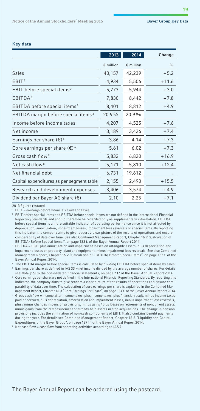#### Key data

| 2013               | 2014             | Change  |
|--------------------|------------------|---------|
| $\epsilon$ million | $\n  emillion\n$ | 0/0     |
| 40,157             | 42,239           | $+5.2$  |
| 4,934              | 5,506            | $+11.6$ |
| 5,773              | 5,944            | $+3.0$  |
| 7,830              | 8,442            | $+7.8$  |
| 8,401              | 8,812            | $+4.9$  |
| 20.9%              | 20.9%            |         |
| 4,207              | 4,525            | $+7.6$  |
| 3,189              | 3,426            | $+7.4$  |
| 3.86               | 4.14             | $+7.3$  |
| 5.61               | 6.02             | $+7.3$  |
| 5,832              | 6,820            | $+16.9$ |
| 5,171              | 5,810            | $+12.4$ |
| 6,731              | 19,612           |         |
| 2,155              | 2,490            | $+15.5$ |
| 3,406              | 3,574            | $+4.9$  |
| 2.10               | 2.25             | $+7.1$  |
|                    |                  |         |

2013 figures restated

EBIT = earnings before financial result and taxes

2 EBIT before special items and EBITDA before special items are not defined in the International Financial Reporting Standards and should therefore be regarded only as supplementary information. EBITDA before special items is a more suitable indicator of operating performance since it is not affected by depreciation, amortization, impairment losses, impairment loss reversals or special items. By reporting this indicator, the company aims to give readers a clear picture of the results of operations and ensure comparability of data over time. See also Combined Management Report, Chapter 16.2 "Calculation of EBIT(DA) Before Special Items.", on page 133 f. of the Bayer Annual Report 2014.

 $^{\rm 3}$  EBITDA = EBIT plus amortization and impairment losses on intangible assets, plus depreciation and impairment losses on property, plant and equipment, minus impairment loss reversals. See also Combined Management Report, Chapter 16.2 "Calculation of EBIT(DA) Before Special Items", on page 133 f. of the Bayer Annual Report 2014.

4 The EBITDA margin before special items is calculated by dividing EBITDA before special items by sales.  $^5$  Earnings per share as defined in IAS 33 = net income divided by the average number of shares. For details

see Note [16] to the consolidated financial statements, on page 237 of the Bayer Annual Report 2014.

- $^{\circ}\,$  Core earnings per share are not defined in the International Financial Reporting Standards. By reporting this indicator, the company aims to give readers a clear picture of the results of operations and ensure comparability of data over time. The calculation of core earnings per share is explained in the Combined Management Report, Chapter 16.3 "Core Earnings Per Share", on page 134 f. of the Bayer Annual Report 2014.
- $^7\,$  Gross cash flow = income after income taxes, plus income taxes, plus financial result, minus income taxes paid or accrued, plus depreciation, amortization and impairment losses, minus impairment loss reversals, plus / minus changes in pension provisions, minus gains / plus losses on retirements of noncurrent assets, minus gains from the remeasurement of already held assets in step acquisitions. The change in pension provisions includes the elimination of non-cash components of EBIT. It also contains benefit payments during the year. For details see Combined Management Report, Chapter 16.5 "Liquidity and Capital Expenditures of the Bayer Group", on page 137 ff. of the Bayer Annual Report 2014.

8 Net cash flow = cash flow from operating activities according to IAS 7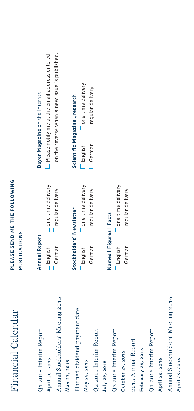# Financial Calendar Financial Calendar

Q1 2015 Interim Report Q1 2015 Interim Report

April 30, 2015 April 30, 2015

Annual Stockholders' Meeting 2015 Annual Stockholders' Meeting 2015 May 27, 2015 May 27, 2015

Planned dividend payment date Planned dividend payment date May 28, 2015 May 28, 2015

Q2 2015 Interim Report Q2 2015 Interim Report July 29, 2015

Q3 2015 Interim Report Q3 2015 Interim Report

July 29, 2015

October 29, 2015 October 29, 2015

2015 Annual Report 2015 Annual Report

February 25, 2016 February 25, 2016

Q1 2016 Interim Report Q1 2016 Interim Report

April 26, 2016 April 26, 2016

Annual Stockholders' Meeting 2016 Annual Stockholders' Meeting 2016 April 29, 2016 April 29, 2016

## PLEASE SEND ME THE FOLLOWING PLEASE SEND ME THE FOLLOWING **PUBLICATIONS** PUBLICATIONS

**Annual Report** Annual Report One-time delivery English one-time delivery **I** regular delivery German regular delivery  $\Box$  English  $\Box$  German

# Stockholders' Newsletter Stockholders' Newsletter

One-time delivery English one-time delivery **I** regular delivery German regular delivery **I** English  $\Box$  German

## Names | Figures | Facts Names | Figures | Facts

One-time delivery English one-time delivery Tregular delivery German regular delivery **D** English  $\Box$  German

# Bayer Magazine on the internet Bayer Magazine on the internet

 $\Box$  Please notify me at the email address entered Please notify me at the email address entered on the reverse when a new issue is published. on the reverse when a new issue is published.

# Scientific Magazine "research" Scientific Magazine "research"

One-time delivery English one-time delivery Tregular delivery German regular delivery **O** English  $\Box$  German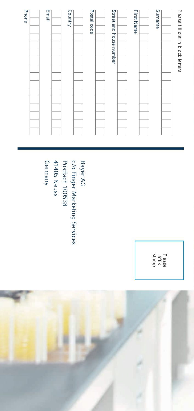| Please fill out in block letters |
|----------------------------------|
|                                  |
| Surname                          |
|                                  |
| First Name                       |
|                                  |
| Street and house number          |
|                                  |
| Postal code                      |
|                                  |
| Country                          |
|                                  |
| Email                            |
|                                  |
| Phone                            |

### Bayer AG<br>c/o Finge<br>Postfach<br>41405 Ne 41405 Neuss Postfach 100538 c /o Finger Marketing Services